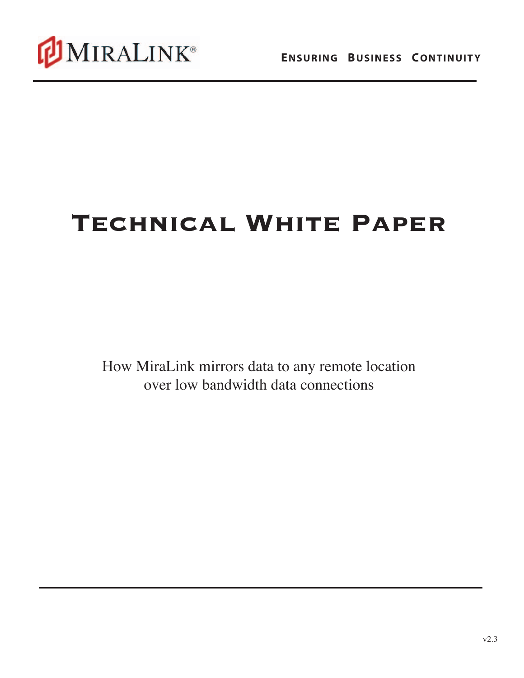

# **Technical White Paper**

How MiraLink mirrors data to any remote location over low bandwidth data connections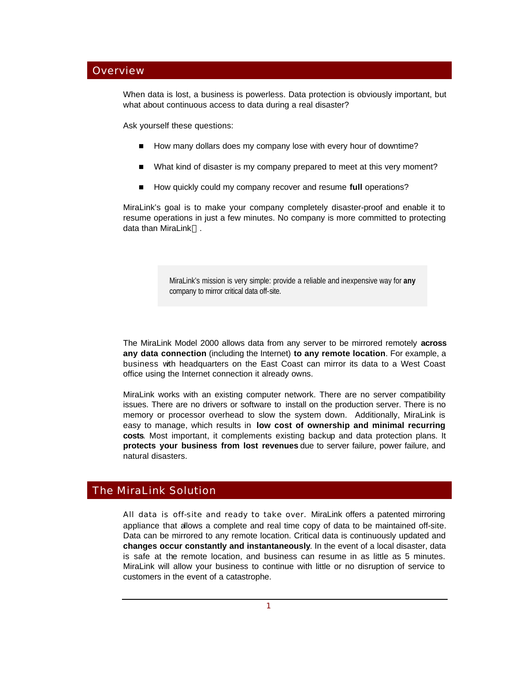# **Overview**

When data is lost, a business is powerless. Data protection is obviously important, but what about continuous access to data during a real disaster?

Ask yourself these questions:

- How many dollars does my company lose with every hour of downtime?
- What kind of disaster is my company prepared to meet at this very moment?
- How quickly could my company recover and resume **full** operations?

MiraLink's goal is to make your company completely disaster-proof and enable it to resume operations in just a few minutes. No company is more committed to protecting data than MiraLink™.

> MiraLink's mission is very simple: provide a reliable and inexpensive way for **any** company to mirror critical data off-site.

The MiraLink Model 2000 allows data from any server to be mirrored remotely **across any data connection** (including the Internet) **to any remote location**. For example, a business with headquarters on the East Coast can mirror its data to a West Coast office using the Internet connection it already owns.

MiraLink works with an existing computer network. There are no server compatibility issues. There are no drivers or software to install on the production server. There is no memory or processor overhead to slow the system down. Additionally, MiraLink is easy to manage, which results in **low cost of ownership and minimal recurring costs**. Most important, it complements existing backup and data protection plans. It **protects your business from lost revenues** due to server failure, power failure, and natural disasters.

# The MiraLink Solution

All data is off-site and ready to take over. MiraLink offers a patented mirroring appliance that allows a complete and real time copy of data to be maintained off-site. Data can be mirrored to any remote location. Critical data is continuously updated and **changes occur constantly and instantaneously**. In the event of a local disaster, data is safe at the remote location, and business can resume in as little as 5 minutes. MiraLink will allow your business to continue with little or no disruption of service to customers in the event of a catastrophe.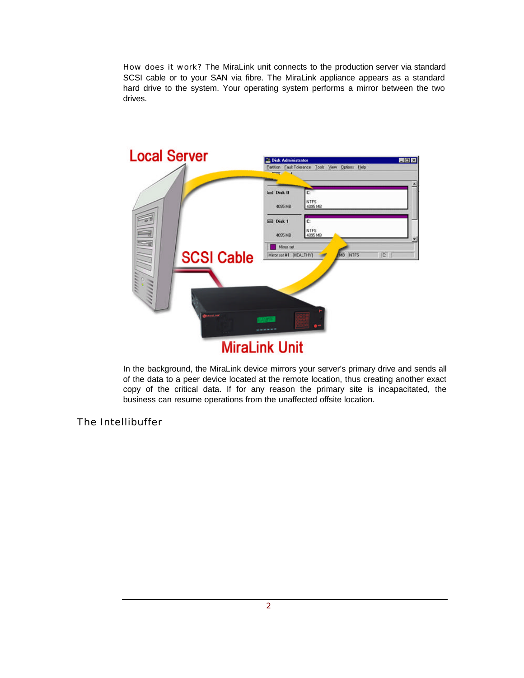How does it work? The MiraLink unit connects to the production server via standard SCSI cable or to your SAN via fibre. The MiraLink appliance appears as a standard hard drive to the system. Your operating system performs a mirror between the two drives.



In the background, the MiraLink device mirrors your server's primary drive and sends all of the data to a peer device located at the remote location, thus creating another exact copy of the critical data. If for any reason the primary site is incapacitated, the business can resume operations from the unaffected offsite location.

The Intellibuffer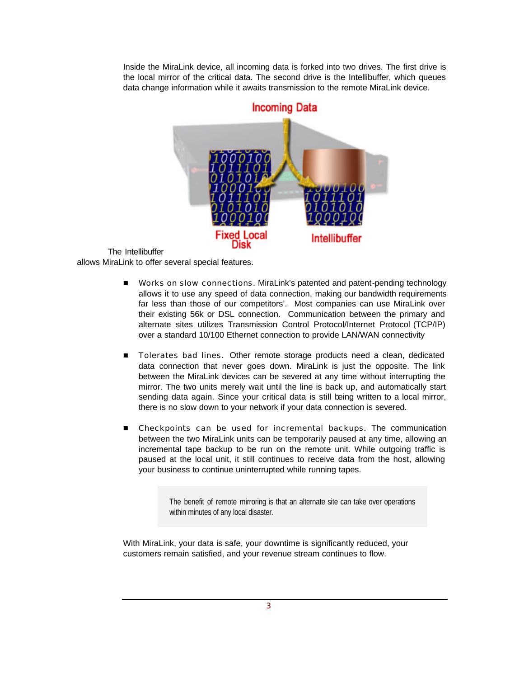Inside the MiraLink device, all incoming data is forked into two drives. The first drive is the local mirror of the critical data. The second drive is the Intellibuffer, which queues data change information while it awaits transmission to the remote MiraLink device.



The Intellibuffer allows MiraLink to offer several special features.

- n Works on slow connections. MiraLink's patented and patent-pending technology allows it to use any speed of data connection, making our bandwidth requirements far less than those of our competitors'. Most companies can use MiraLink over their existing 56k or DSL connection. Communication between the primary and alternate sites utilizes Transmission Control Protocol/Internet Protocol (TCP/IP) over a standard 10/100 Ethernet connection to provide LAN/WAN connectivity
- **n** Tolerates bad lines. Other remote storage products need a clean, dedicated data connection that never goes down. MiraLink is just the opposite. The link between the MiraLink devices can be severed at any time without interrupting the mirror. The two units merely wait until the line is back up, and automatically start sending data again. Since your critical data is still being written to a local mirror, there is no slow down to your network if your data connection is severed.
- **n** Checkpoints can be used for incremental backups. The communication between the two MiraLink units can be temporarily paused at any time, allowing an incremental tape backup to be run on the remote unit. While outgoing traffic is paused at the local unit, it still continues to receive data from the host, allowing your business to continue uninterrupted while running tapes.

The benefit of remote mirroring is that an alternate site can take over operations within minutes of any local disaster.

With MiraLink, your data is safe, your downtime is significantly reduced, your customers remain satisfied, and your revenue stream continues to flow.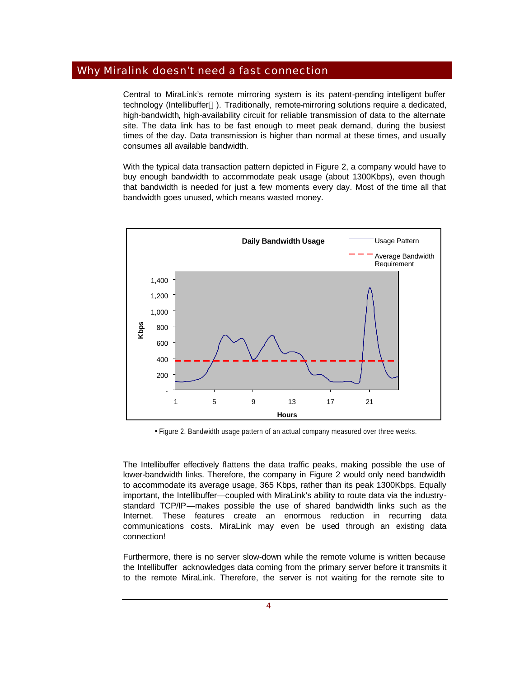# Why Miralink doesn't need a fast connection

Central to MiraLink's remote mirroring system is its patent-pending intelligent buffer technology (Intellibuffer<sup>™</sup>). Traditionally, remote-mirroring solutions require a dedicated, high-bandwidth, high-availability circuit for reliable transmission of data to the alternate site. The data link has to be fast enough to meet peak demand, during the busiest times of the day. Data transmission is higher than normal at these times, and usually consumes all available bandwidth.

With the typical data transaction pattern depicted in Figure 2, a company would have to buy enough bandwidth to accommodate peak usage (about 1300Kbps), even though that bandwidth is needed for just a few moments every day. Most of the time all that bandwidth goes unused, which means wasted money.



• Figure 2. Bandwidth usage pattern of an actual company measured over three weeks.

The Intellibuffer effectively flattens the data traffic peaks, making possible the use of lower-bandwidth links. Therefore, the company in Figure 2 would only need bandwidth to accommodate its average usage, 365 Kbps, rather than its peak 1300Kbps. Equally important, the Intellibuffer—coupled with MiraLink's ability to route data via the industrystandard TCP/IP—makes possible the use of shared bandwidth links such as the Internet. These features create an enormous reduction in recurring data communications costs. MiraLink may even be used through an existing data connection!

Furthermore, there is no server slow-down while the remote volume is written because the Intellibuffer acknowledges data coming from the primary server before it transmits it to the remote MiraLink. Therefore, the server is not waiting for the remote site to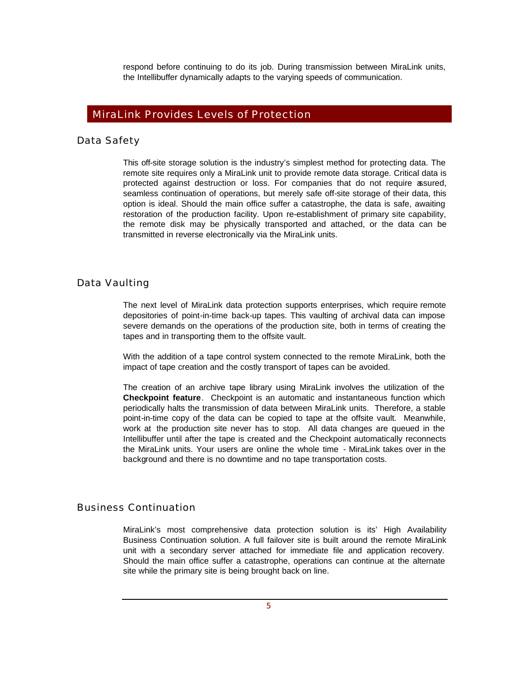respond before continuing to do its job. During transmission between MiraLink units, the Intellibuffer dynamically adapts to the varying speeds of communication.

# MiraLink Provides Levels of Protection

## Data Safety

This off-site storage solution is the industry's simplest method for protecting data. The remote site requires only a MiraLink unit to provide remote data storage. Critical data is protected against destruction or loss. For companies that do not require assured, seamless continuation of operations, but merely safe off-site storage of their data, this option is ideal. Should the main office suffer a catastrophe, the data is safe, awaiting restoration of the production facility. Upon re-establishment of primary site capability, the remote disk may be physically transported and attached, or the data can be transmitted in reverse electronically via the MiraLink units.

#### Data Vaulting

The next level of MiraLink data protection supports enterprises, which require remote depositories of point-in-time back-up tapes. This vaulting of archival data can impose severe demands on the operations of the production site, both in terms of creating the tapes and in transporting them to the offsite vault.

With the addition of a tape control system connected to the remote MiraLink, both the impact of tape creation and the costly transport of tapes can be avoided.

The creation of an archive tape library using MiraLink involves the utilization of the **Checkpoint feature**. Checkpoint is an automatic and instantaneous function which periodically halts the transmission of data between MiraLink units. Therefore, a stable point-in-time copy of the data can be copied to tape at the offsite vault. Meanwhile, work at the production site never has to stop. All data changes are queued in the Intellibuffer until after the tape is created and the Checkpoint automatically reconnects the MiraLink units. Your users are online the whole time - MiraLink takes over in the background and there is no downtime and no tape transportation costs.

## Business Continuation

MiraLink's most comprehensive data protection solution is its' High Availability Business Continuation solution. A full failover site is built around the remote MiraLink unit with a secondary server attached for immediate file and application recovery. Should the main office suffer a catastrophe, operations can continue at the alternate site while the primary site is being brought back on line.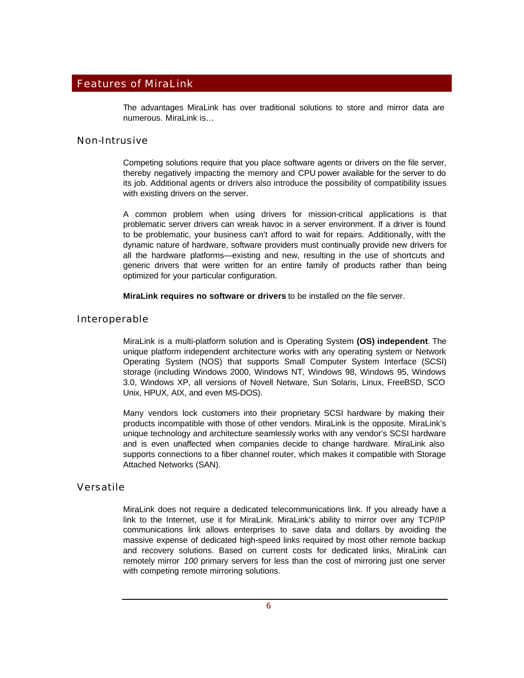# Features of MiraLink

The advantages MiraLink has over traditional solutions to store and mirror data are numerous. MiraLink is…

#### Non-Intrusive

Competing solutions require that you place software agents or drivers on the file server, thereby negatively impacting the memory and CPU power available for the server to do its job. Additional agents or drivers also introduce the possibility of compatibility issues with existing drivers on the server.

A common problem when using drivers for mission-critical applications is that problematic server drivers can wreak havoc in a server environment. If a driver is found to be problematic, your business can't afford to wait for repairs. Additionally, with the dynamic nature of hardware, software providers must continually provide new drivers for all the hardware platforms—existing and new, resulting in the use of shortcuts and generic drivers that were written for an entire family of products rather than being optimized for your particular configuration.

**MiraLink requires no software or drivers** to be installed on the file server.

#### Interoperable

MiraLink is a multi-platform solution and is Operating System **(OS) independent**. The unique platform independent architecture works with any operating system or Network Operating System (NOS) that supports Small Computer System Interface (SCSI) storage (including Windows 2000, Windows NT, Windows 98, Windows 95, Windows 3.0, Windows XP, all versions of Novell Netware, Sun Solaris, Linux, FreeBSD, SCO Unix, HPUX, AIX, and even MS-DOS).

Many vendors lock customers into their proprietary SCSI hardware by making their products incompatible with those of other vendors. MiraLink is the opposite. MiraLink's unique technology and architecture seamlessly works with any vendor's SCSI hardware and is even unaffected when companies decide to change hardware. MiraLink also supports connections to a fiber channel router, which makes it compatible with Storage Attached Networks (SAN).

## Versatile

MiraLink does not require a dedicated telecommunications link. If you already have a link to the Internet, use it for MiraLink. MiraLink's ability to mirror over any TCP/IP communications link allows enterprises to save data and dollars by avoiding the massive expense of dedicated high-speed links required by most other remote backup and recovery solutions. Based on current costs for dedicated links, MiraLink can remotely mirror *100* primary servers for less than the cost of mirroring just one server with competing remote mirroring solutions.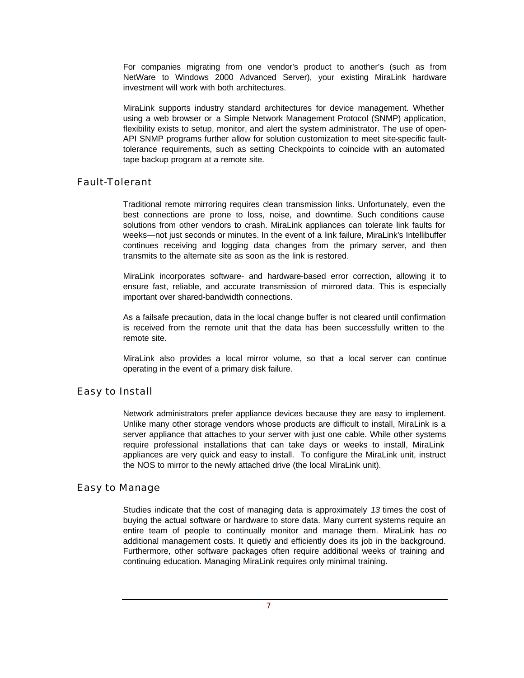For companies migrating from one vendor's product to another's (such as from NetWare to Windows 2000 Advanced Server), your existing MiraLink hardware investment will work with both architectures.

MiraLink supports industry standard architectures for device management. Whether using a web browser or a Simple Network Management Protocol (SNMP) application, flexibility exists to setup, monitor, and alert the system administrator. The use of open-API SNMP programs further allow for solution customization to meet site-specific faulttolerance requirements, such as setting Checkpoints to coincide with an automated tape backup program at a remote site.

# Fault-Tolerant

Traditional remote mirroring requires clean transmission links. Unfortunately, even the best connections are prone to loss, noise, and downtime. Such conditions cause solutions from other vendors to crash. MiraLink appliances can tolerate link faults for weeks—not just seconds or minutes. In the event of a link failure, MiraLink's Intellibuffer continues receiving and logging data changes from the primary server, and then transmits to the alternate site as soon as the link is restored.

MiraLink incorporates software- and hardware-based error correction, allowing it to ensure fast, reliable, and accurate transmission of mirrored data. This is especially important over shared-bandwidth connections.

As a failsafe precaution, data in the local change buffer is not cleared until confirmation is received from the remote unit that the data has been successfully written to the remote site.

MiraLink also provides a local mirror volume, so that a local server can continue operating in the event of a primary disk failure.

## Easy to Install

Network administrators prefer appliance devices because they are easy to implement. Unlike many other storage vendors whose products are difficult to install, MiraLink is a server appliance that attaches to your server with just one cable. While other systems require professional installations that can take days or weeks to install, MiraLink appliances are very quick and easy to install. To configure the MiraLink unit, instruct the NOS to mirror to the newly attached drive (the local MiraLink unit).

## Easy to Manage

Studies indicate that the cost of managing data is approximately *13* times the cost of buying the actual software or hardware to store data. Many current systems require an entire team of people to continually monitor and manage them. MiraLink has *no* additional management costs. It quietly and efficiently does its job in the background. Furthermore, other software packages often require additional weeks of training and continuing education. Managing MiraLink requires only minimal training.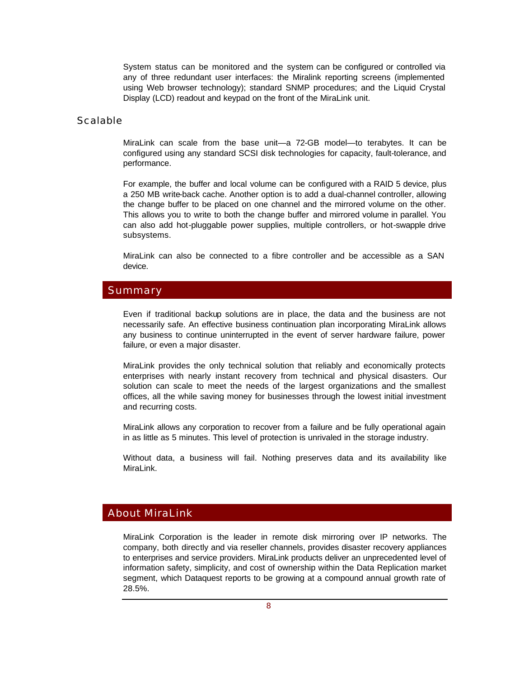System status can be monitored and the system can be configured or controlled via any of three redundant user interfaces: the Miralink reporting screens (implemented using Web browser technology); standard SNMP procedures; and the Liquid Crystal Display (LCD) readout and keypad on the front of the MiraLink unit.

#### Scalable

MiraLink can scale from the base unit—a 72-GB model—to terabytes. It can be configured using any standard SCSI disk technologies for capacity, fault-tolerance, and performance.

For example, the buffer and local volume can be configured with a RAID 5 device, plus a 250 MB write-back cache. Another option is to add a dual-channel controller, allowing the change buffer to be placed on one channel and the mirrored volume on the other. This allows you to write to both the change buffer and mirrored volume in parallel. You can also add hot-pluggable power supplies, multiple controllers, or hot-swapple drive subsystems.

MiraLink can also be connected to a fibre controller and be accessible as a SAN device.

## Summary

Even if traditional backup solutions are in place, the data and the business are not necessarily safe. An effective business continuation plan incorporating MiraLink allows any business to continue uninterrupted in the event of server hardware failure, power failure, or even a major disaster.

MiraLink provides the only technical solution that reliably and economically protects enterprises with nearly instant recovery from technical and physical disasters. Our solution can scale to meet the needs of the largest organizations and the smallest offices, all the while saving money for businesses through the lowest initial investment and recurring costs.

MiraLink allows any corporation to recover from a failure and be fully operational again in as little as 5 minutes. This level of protection is unrivaled in the storage industry.

Without data, a business will fail. Nothing preserves data and its availability like MiraLink.

# About MiraLink

MiraLink Corporation is the leader in remote disk mirroring over IP networks. The company, both directly and via reseller channels, provides disaster recovery appliances to enterprises and service providers. MiraLink products deliver an unprecedented level of information safety, simplicity, and cost of ownership within the Data Replication market segment, which Dataquest reports to be growing at a compound annual growth rate of 28.5%.